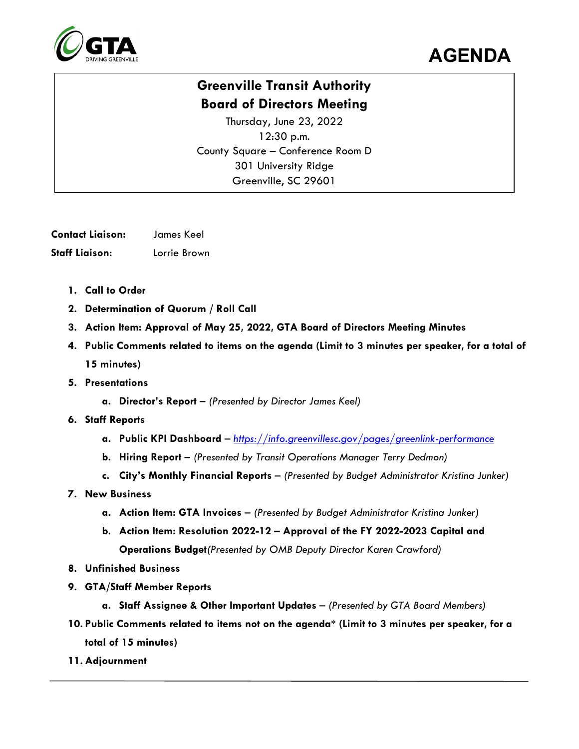



## **Greenville Transit Authority Board of Directors Meeting**

Thursday, June 23, 2022 12:30 p.m. County Square – Conference Room D 301 University Ridge Greenville, SC 29601

**Contact Liaison:** James Keel **Staff Liaison:** Lorrie Brown

- **1. Call to Order**
- **2. Determination of Quorum / Roll Call**
- **3. Action Item: Approval of May 25, 2022, GTA Board of Directors Meeting Minutes**
- **4. Public Comments related to items on the agenda (Limit to 3 minutes per speaker, for a total of 15 minutes)**
- **5. Presentations**
	- **a. Director's Report**  *(Presented by Director James Keel)*
- **6. Staff Reports**
	- **a. Public KPI Dashboard**  *<https://info.greenvillesc.gov/pages/greenlink-performance>*
	- **b. Hiring Report**  *(Presented by Transit Operations Manager Terry Dedmon)*
	- **c. City's Monthly Financial Reports**  *(Presented by Budget Administrator Kristina Junker)*
- **7. New Business**
	- **a. Action Item: GTA Invoices** *(Presented by Budget Administrator Kristina Junker)*
	- **b. Action Item: Resolution 2022-12 – Approval of the FY 2022-2023 Capital and Operations Budget***(Presented by OMB Deputy Director Karen Crawford)*
- **8. Unfinished Business**
- **9. GTA/Staff Member Reports**
	- **a. Staff Assignee & Other Important Updates**  *(Presented by GTA Board Members)*
- **10. Public Comments related to items not on the agenda\* (Limit to 3 minutes per speaker, for a total of 15 minutes)**
- **11. Adjournment**